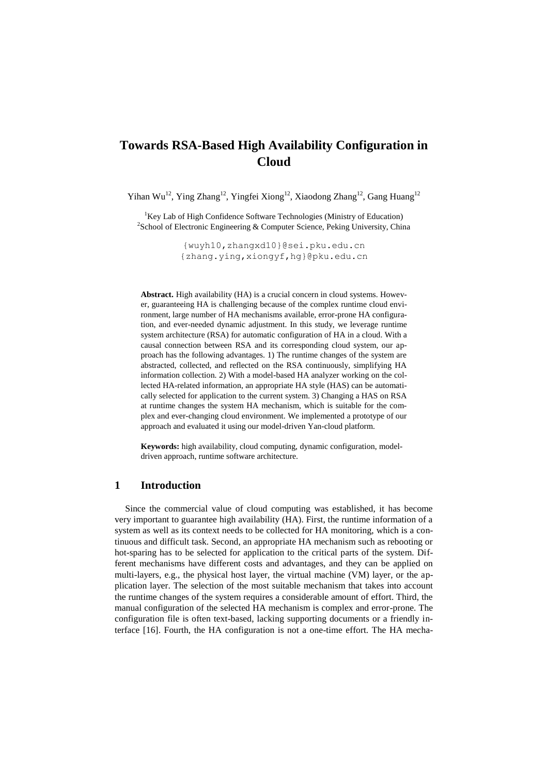# **Towards RSA-Based High Availability Configuration in Cloud**

Yihan Wu<sup>12</sup>, Ying Zhang<sup>12</sup>, Yingfei Xiong<sup>12</sup>, Xiaodong Zhang<sup>12</sup>, Gang Huang<sup>12</sup>

<sup>1</sup>Key Lab of High Confidence Software Technologies (Ministry of Education) <sup>2</sup>School of Electronic Engineering & Computer Science, Peking University, China

> [{wuyh10,zhangxd10}@sei.pku.edu.cn](mailto:authors@sei.pku.edu.cn) {zhang.ying,xiongyf,hg}@pku.edu.cn

**Abstract.** High availability (HA) is a crucial concern in cloud systems. However, guaranteeing HA is challenging because of the complex runtime cloud environment, large number of HA mechanisms available, error-prone HA configuration, and ever-needed dynamic adjustment. In this study, we leverage runtime system architecture (RSA) for automatic configuration of HA in a cloud. With a causal connection between RSA and its corresponding cloud system, our approach has the following advantages. 1) The runtime changes of the system are abstracted, collected, and reflected on the RSA continuously, simplifying HA information collection. 2) With a model-based HA analyzer working on the collected HA-related information, an appropriate HA style (HAS) can be automatically selected for application to the current system. 3) Changing a HAS on RSA at runtime changes the system HA mechanism, which is suitable for the complex and ever-changing cloud environment. We implemented a prototype of our approach and evaluated it using our model-driven Yan-cloud platform.

**Keywords:** high availability, cloud computing, dynamic configuration, modeldriven approach, runtime software architecture.

### **1 Introduction**

Since the commercial value of cloud computing was established, it has become very important to guarantee high availability (HA). First, the runtime information of a system as well as its context needs to be collected for HA monitoring, which is a continuous and difficult task. Second, an appropriate HA mechanism such as rebooting or hot-sparing has to be selected for application to the critical parts of the system. Different mechanisms have different costs and advantages, and they can be applied on multi-layers, e.g., the physical host layer, the virtual machine (VM) layer, or the application layer. The selection of the most suitable mechanism that takes into account the runtime changes of the system requires a considerable amount of effort. Third, the manual configuration of the selected HA mechanism is complex and error-prone. The configuration file is often text-based, lacking supporting documents or a friendly interface [16]. Fourth, the HA configuration is not a one-time effort. The HA mecha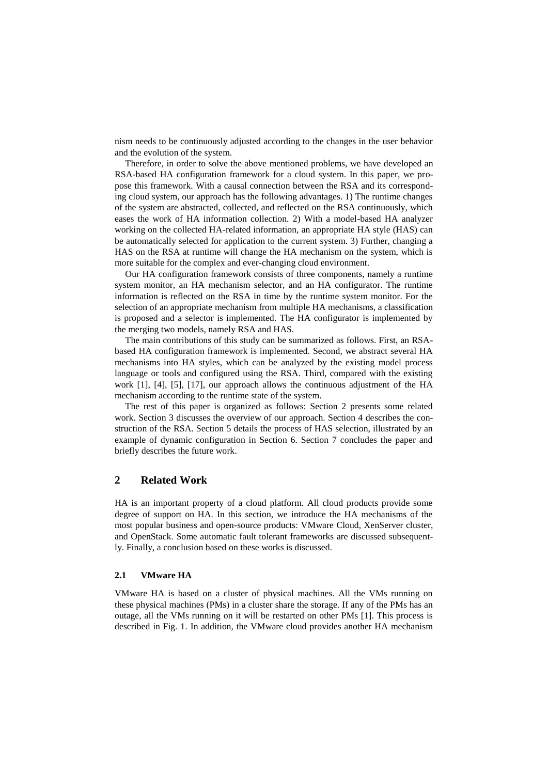nism needs to be continuously adjusted according to the changes in the user behavior and the evolution of the system.

Therefore, in order to solve the above mentioned problems, we have developed an RSA-based HA configuration framework for a cloud system. In this paper, we propose this framework. With a causal connection between the RSA and its corresponding cloud system, our approach has the following advantages. 1) The runtime changes of the system are abstracted, collected, and reflected on the RSA continuously, which eases the work of HA information collection. 2) With a model-based HA analyzer working on the collected HA-related information, an appropriate HA style (HAS) can be automatically selected for application to the current system. 3) Further, changing a HAS on the RSA at runtime will change the HA mechanism on the system, which is more suitable for the complex and ever-changing cloud environment.

Our HA configuration framework consists of three components, namely a runtime system monitor, an HA mechanism selector, and an HA configurator. The runtime information is reflected on the RSA in time by the runtime system monitor. For the selection of an appropriate mechanism from multiple HA mechanisms, a classification is proposed and a selector is implemented. The HA configurator is implemented by the merging two models, namely RSA and HAS.

The main contributions of this study can be summarized as follows. First, an RSAbased HA configuration framework is implemented. Second, we abstract several HA mechanisms into HA styles, which can be analyzed by the existing model process language or tools and configured using the RSA. Third, compared with the existing work [1], [4], [5], [17], our approach allows the continuous adjustment of the HA mechanism according to the runtime state of the system.

The rest of this paper is organized as follows: Section 2 presents some related work. Section 3 discusses the overview of our approach. Section 4 describes the construction of the RSA. Section 5 details the process of HAS selection, illustrated by an example of dynamic configuration in Section 6. Section 7 concludes the paper and briefly describes the future work.

# **2 Related Work**

HA is an important property of a cloud platform. All cloud products provide some degree of support on HA. In this section, we introduce the HA mechanisms of the most popular business and open-source products: VMware Cloud, XenServer cluster, and OpenStack. Some automatic fault tolerant frameworks are discussed subsequently. Finally, a conclusion based on these works is discussed.

#### **2.1 VMware HA**

VMware HA is based on a cluster of physical machines. All the VMs running on these physical machines (PMs) in a cluster share the storage. If any of the PMs has an outage, all the VMs running on it will be restarted on other PMs [1]. This process is described in Fig. 1. In addition, the VMware cloud provides another HA mechanism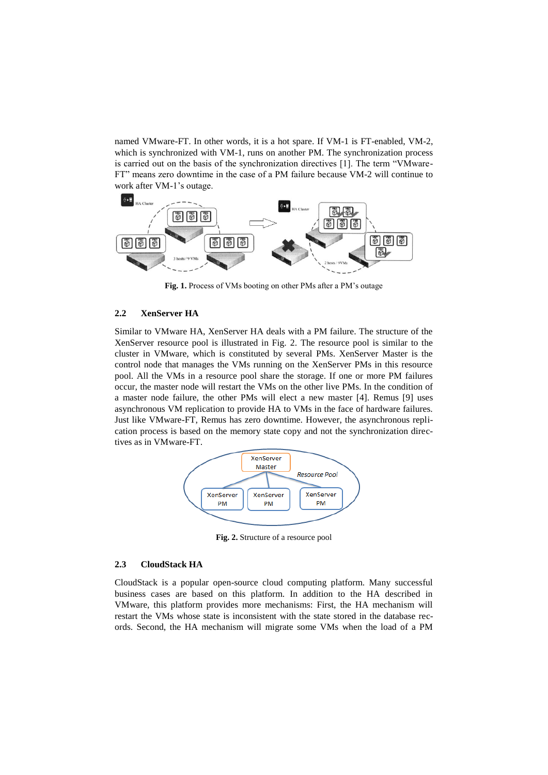named VMware-FT. In other words, it is a hot spare. If VM-1 is FT-enabled, VM-2, which is synchronized with VM-1, runs on another PM. The synchronization process is carried out on the basis of the synchronization directives [1]. The term "VMware-FT" means zero downtime in the case of a PM failure because VM-2 will continue to work after VM-1's outage.



**Fig. 1.** Process of VMs booting on other PMs after a PM's outage

### **2.2 XenServer HA**

Similar to VMware HA, XenServer HA deals with a PM failure. The structure of the XenServer resource pool is illustrated in Fig. 2. The resource pool is similar to the cluster in VMware, which is constituted by several PMs. XenServer Master is the control node that manages the VMs running on the XenServer PMs in this resource pool. All the VMs in a resource pool share the storage. If one or more PM failures occur, the master node will restart the VMs on the other live PMs. In the condition of a master node failure, the other PMs will elect a new master [4]. Remus [9] uses asynchronous VM replication to provide HA to VMs in the face of hardware failures. Just like VMware-FT, Remus has zero downtime. However, the asynchronous replication process is based on the memory state copy and not the synchronization directives as in VMware-FT.



**Fig. 2.** Structure of a resource pool

### **2.3 CloudStack HA**

CloudStack is a popular open-source cloud computing platform. Many successful business cases are based on this platform. In addition to the HA described in VMware, this platform provides more mechanisms: First, the HA mechanism will restart the VMs whose state is inconsistent with the state stored in the database records. Second, the HA mechanism will migrate some VMs when the load of a PM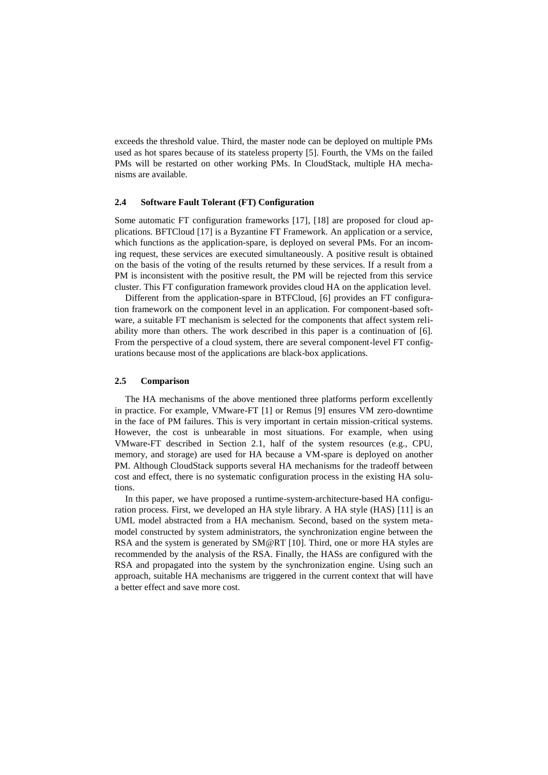exceeds the threshold value. Third, the master node can be deployed on multiple PMs used as hot spares because of its stateless property [5]. Fourth, the VMs on the failed PMs will be restarted on other working PMs. In CloudStack, multiple HA mechanisms are available.

### **2.4 Software Fault Tolerant (FT) Configuration**

Some automatic FT configuration frameworks [17], [18] are proposed for cloud applications. BFTCloud [17] is a Byzantine FT Framework. An application or a service, which functions as the application-spare, is deployed on several PMs. For an incoming request, these services are executed simultaneously. A positive result is obtained on the basis of the voting of the results returned by these services. If a result from a PM is inconsistent with the positive result, the PM will be rejected from this service cluster. This FT configuration framework provides cloud HA on the application level.

Different from the application-spare in BTFCloud, [6] provides an FT configuration framework on the component level in an application. For component-based software, a suitable FT mechanism is selected for the components that affect system reliability more than others. The work described in this paper is a continuation of [6]. From the perspective of a cloud system, there are several component-level FT configurations because most of the applications are black-box applications.

### **2.5 Comparison**

The HA mechanisms of the above mentioned three platforms perform excellently in practice. For example, VMware-FT [1] or Remus [9] ensures VM zero-downtime in the face of PM failures. This is very important in certain mission-critical systems. However, the cost is unbearable in most situations. For example, when using VMware-FT described in Section 2.1, half of the system resources (e.g., CPU, memory, and storage) are used for HA because a VM-spare is deployed on another PM. Although CloudStack supports several HA mechanisms for the tradeoff between cost and effect, there is no systematic configuration process in the existing HA solutions.

In this paper, we have proposed a runtime-system-architecture-based HA configuration process. First, we developed an HA style library. A HA style (HAS) [11] is an UML model abstracted from a HA mechanism. Second, based on the system metamodel constructed by system administrators, the synchronization engine between the RSA and the system is generated by SM@RT [10]. Third, one or more HA styles are recommended by the analysis of the RSA. Finally, the HASs are configured with the RSA and propagated into the system by the synchronization engine. Using such an approach, suitable HA mechanisms are triggered in the current context that will have a better effect and save more cost.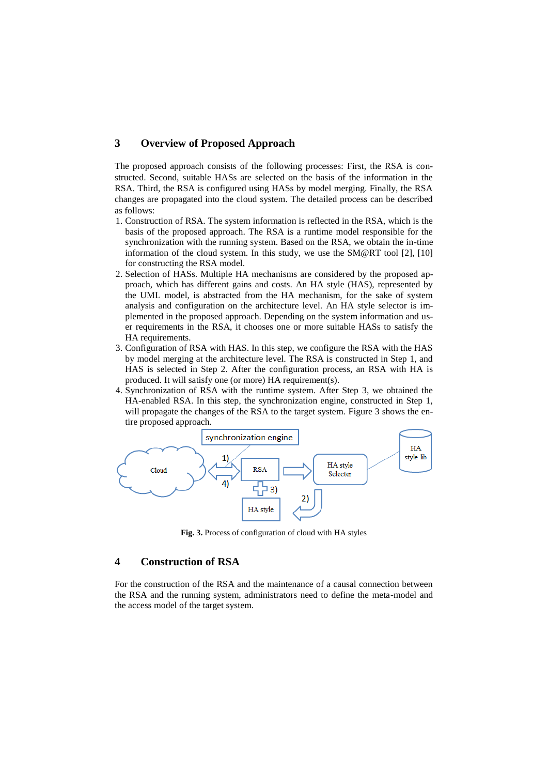## **3 Overview of Proposed Approach**

The proposed approach consists of the following processes: First, the RSA is constructed. Second, suitable HASs are selected on the basis of the information in the RSA. Third, the RSA is configured using HASs by model merging. Finally, the RSA changes are propagated into the cloud system. The detailed process can be described as follows:

- 1. Construction of RSA. The system information is reflected in the RSA, which is the basis of the proposed approach. The RSA is a runtime model responsible for the synchronization with the running system. Based on the RSA, we obtain the in-time information of the cloud system. In this study, we use the SM@RT tool [2], [10] for constructing the RSA model.
- 2. Selection of HASs. Multiple HA mechanisms are considered by the proposed approach, which has different gains and costs. An HA style (HAS), represented by the UML model, is abstracted from the HA mechanism, for the sake of system analysis and configuration on the architecture level. An HA style selector is implemented in the proposed approach. Depending on the system information and user requirements in the RSA, it chooses one or more suitable HASs to satisfy the HA requirements.
- 3. Configuration of RSA with HAS. In this step, we configure the RSA with the HAS by model merging at the architecture level. The RSA is constructed in Step 1, and HAS is selected in Step 2. After the configuration process, an RSA with HA is produced. It will satisfy one (or more) HA requirement(s).
- 4. Synchronization of RSA with the runtime system. After Step 3, we obtained the HA-enabled RSA. In this step, the synchronization engine, constructed in Step 1, will propagate the changes of the RSA to the target system. Figure 3 shows the entire proposed approach.



**Fig. 3.** Process of configuration of cloud with HA styles

## **4 Construction of RSA**

For the construction of the RSA and the maintenance of a causal connection between the RSA and the running system, administrators need to define the meta-model and the access model of the target system.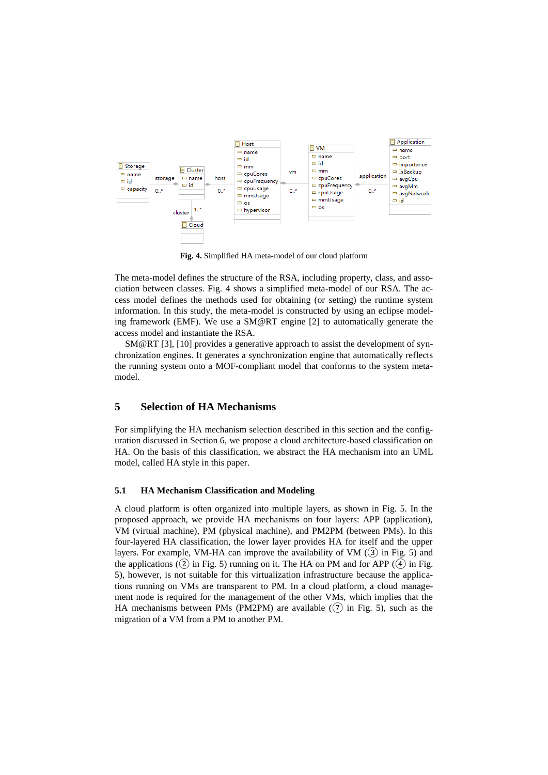

**Fig. 4.** Simplified HA meta-model of our cloud platform

The meta-model defines the structure of the RSA, including property, class, and association between classes. Fig. 4 shows a simplified meta-model of our RSA. The access model defines the methods used for obtaining (or setting) the runtime system information. In this study, the meta-model is constructed by using an eclipse modeling framework (EMF). We use a SM@RT engine [2] to automatically generate the access model and instantiate the RSA.

SM@RT [3], [10] provides a generative approach to assist the development of synchronization engines. It generates a synchronization engine that automatically reflects the running system onto a MOF-compliant model that conforms to the system metamodel.

### **5 Selection of HA Mechanisms**

For simplifying the HA mechanism selection described in this section and the configuration discussed in Section 6, we propose a cloud architecture-based classification on HA. On the basis of this classification, we abstract the HA mechanism into an UML model, called HA style in this paper.

#### **5.1 HA Mechanism Classification and Modeling**

A cloud platform is often organized into multiple layers, as shown in Fig. 5. In the proposed approach, we provide HA mechanisms on four layers: APP (application), VM (virtual machine), PM (physical machine), and PM2PM (between PMs). In this four-layered HA classification, the lower layer provides HA for itself and the upper layers. For example, VM-HA can improve the availability of VM  $(3)$  in Fig. 5) and the applications  $(2)$  in Fig. 5) running on it. The HA on PM and for APP  $(4)$  in Fig. 5), however, is not suitable for this virtualization infrastructure because the applications running on VMs are transparent to PM. In a cloud platform, a cloud management node is required for the management of the other VMs, which implies that the HA mechanisms between PMs (PM2PM) are available  $(7)$  in Fig. 5), such as the migration of a VM from a PM to another PM.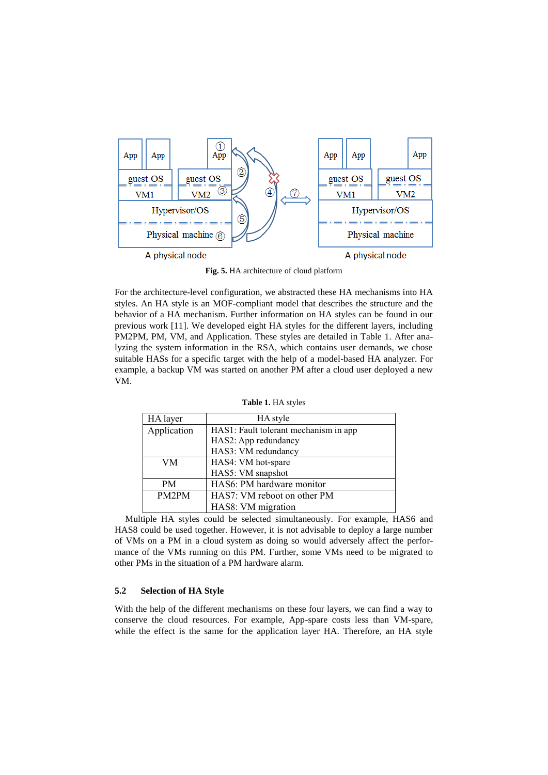

**Fig. 5.** HA architecture of cloud platform

For the architecture-level configuration, we abstracted these HA mechanisms into HA styles. An HA style is an MOF-compliant model that describes the structure and the behavior of a HA mechanism. Further information on HA styles can be found in our previous work [11]. We developed eight HA styles for the different layers, including PM2PM, PM, VM, and Application. These styles are detailed in Table 1. After analyzing the system information in the RSA, which contains user demands, we chose suitable HASs for a specific target with the help of a model-based HA analyzer. For example, a backup VM was started on another PM after a cloud user deployed a new VM.

| HA layer    | HA style                              |
|-------------|---------------------------------------|
| Application | HAS1: Fault tolerant mechanism in app |
|             | HAS2: App redundancy                  |
|             | HAS3: VM redundancy                   |
| VM          | HAS4: VM hot-spare                    |
|             | HAS5: VM snapshot                     |
| <b>PM</b>   | HAS6: PM hardware monitor             |
| PM2PM       | HAS7: VM reboot on other PM           |
|             | HAS8: VM migration                    |

**Table 1.** HA styles

Multiple HA styles could be selected simultaneously. For example, HAS6 and HAS8 could be used together. However, it is not advisable to deploy a large number of VMs on a PM in a cloud system as doing so would adversely affect the performance of the VMs running on this PM. Further, some VMs need to be migrated to other PMs in the situation of a PM hardware alarm.

#### **5.2 Selection of HA Style**

With the help of the different mechanisms on these four layers, we can find a way to conserve the cloud resources. For example, App-spare costs less than VM-spare, while the effect is the same for the application layer HA. Therefore, an HA style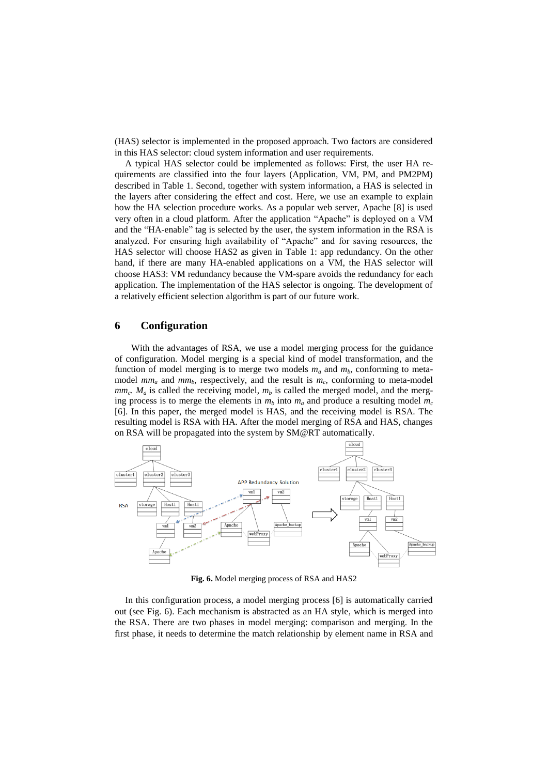(HAS) selector is implemented in the proposed approach. Two factors are considered in this HAS selector: cloud system information and user requirements.

A typical HAS selector could be implemented as follows: First, the user HA requirements are classified into the four layers (Application, VM, PM, and PM2PM) described in Table 1. Second, together with system information, a HAS is selected in the layers after considering the effect and cost. Here, we use an example to explain how the HA selection procedure works. As a popular web server, Apache [8] is used very often in a cloud platform. After the application "Apache" is deployed on a VM and the "HA-enable" tag is selected by the user, the system information in the RSA is analyzed. For ensuring high availability of "Apache" and for saving resources, the HAS selector will choose HAS2 as given in Table 1: app redundancy. On the other hand, if there are many HA-enabled applications on a VM, the HAS selector will choose HAS3: VM redundancy because the VM-spare avoids the redundancy for each application. The implementation of the HAS selector is ongoing. The development of a relatively efficient selection algorithm is part of our future work.

#### **6 Configuration**

With the advantages of RSA, we use a model merging process for the guidance of configuration. Model merging is a special kind of model transformation, and the function of model merging is to merge two models  $m_a$  and  $m_b$ , conforming to metamodel  $mm_a$  and  $mm_b$ , respectively, and the result is  $m_c$ , conforming to meta-model  $mm_c$ .  $M_a$  is called the receiving model,  $m_b$  is called the merged model, and the merging process is to merge the elements in  $m_b$  into  $m_a$  and produce a resulting model  $m_c$ [6]. In this paper, the merged model is HAS, and the receiving model is RSA. The resulting model is RSA with HA. After the model merging of RSA and HAS, changes on RSA will be propagated into the system by SM@RT automatically.



**Fig. 6.** Model merging process of RSA and HAS2

In this configuration process, a model merging process [6] is automatically carried out (see Fig. 6). Each mechanism is abstracted as an HA style, which is merged into the RSA. There are two phases in model merging: comparison and merging. In the first phase, it needs to determine the match relationship by element name in RSA and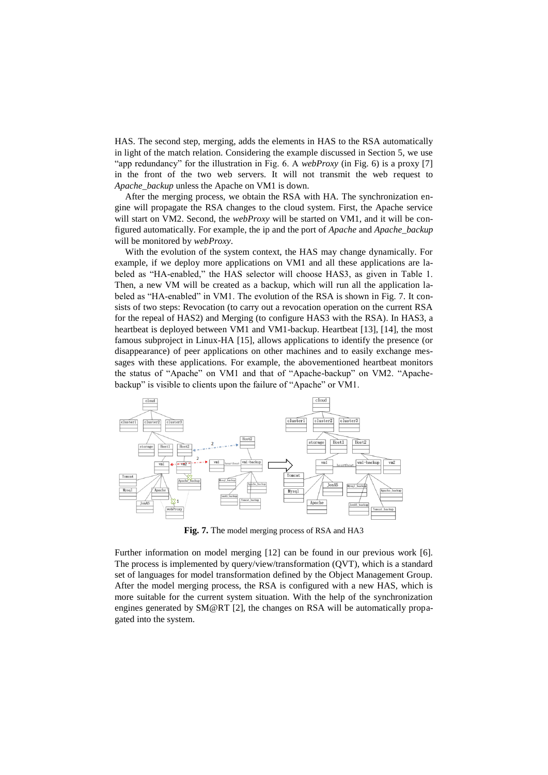HAS. The second step, merging, adds the elements in HAS to the RSA automatically in light of the match relation. Considering the example discussed in Section 5, we use "app redundancy" for the illustration in Fig. 6. A *webProxy* (in Fig. 6) is a proxy [7] in the front of the two web servers. It will not transmit the web request to *Apache\_backup* unless the Apache on VM1 is down.

After the merging process, we obtain the RSA with HA. The synchronization engine will propagate the RSA changes to the cloud system. First, the Apache service will start on VM2. Second, the *webProxy* will be started on VM1, and it will be configured automatically. For example, the ip and the port of *Apache* and *Apache\_backup* will be monitored by *webProxy*.

With the evolution of the system context, the HAS may change dynamically. For example, if we deploy more applications on VM1 and all these applications are labeled as "HA-enabled," the HAS selector will choose HAS3, as given in Table 1. Then, a new VM will be created as a backup, which will run all the application labeled as "HA-enabled" in VM1. The evolution of the RSA is shown in Fig. 7. It consists of two steps: Revocation (to carry out a revocation operation on the current RSA for the repeal of HAS2) and Merging (to configure HAS3 with the RSA). In HAS3, a heartbeat is deployed between VM1 and VM1-backup. Heartbeat [13], [14], the most famous subproject in Linux-HA [15], allows applications to identify the presence (or disappearance) of peer applications on other machines and to easily exchange messages with these applications. For example, the abovementioned heartbeat monitors the status of "Apache" on VM1 and that of "Apache-backup" on VM2. "Apachebackup" is visible to clients upon the failure of "Apache" or VM1.



**Fig. 7.** The model merging process of RSA and HA3

Further information on model merging [12] can be found in our previous work [6]. The process is implemented by query/view/transformation (QVT), which is a standard set of languages for model transformation defined by the Object Management Group. After the model merging process, the RSA is configured with a new HAS, which is more suitable for the current system situation. With the help of the synchronization engines generated by SM@RT [2], the changes on RSA will be automatically propagated into the system.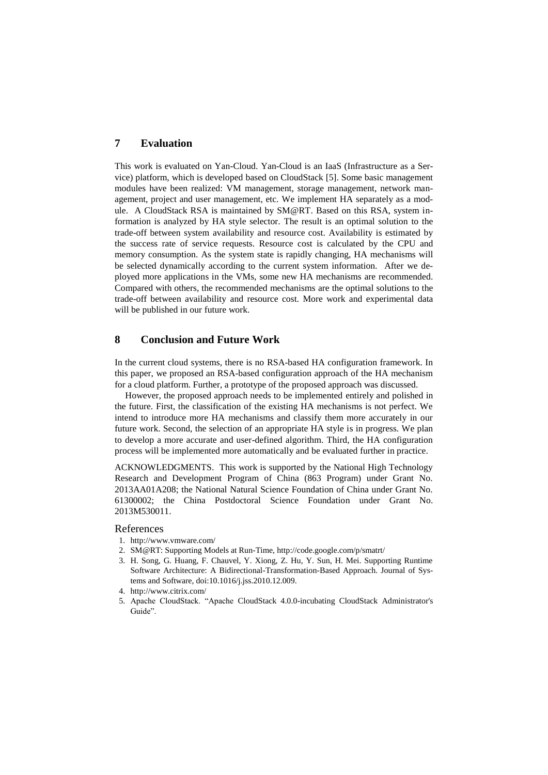### **7 Evaluation**

This work is evaluated on Yan-Cloud. Yan-Cloud is an IaaS (Infrastructure as a Service) platform, which is developed based on CloudStack [5]. Some basic management modules have been realized: VM management, storage management, network management, project and user management, etc. We implement HA separately as a module. A CloudStack RSA is maintained by SM@RT. Based on this RSA, system information is analyzed by HA style selector. The result is an optimal solution to the trade-off between system availability and resource cost. Availability is estimated by the success rate of service requests. Resource cost is calculated by the CPU and memory consumption. As the system state is rapidly changing, HA mechanisms will be selected dynamically according to the current system information. After we deployed more applications in the VMs, some new HA mechanisms are recommended. Compared with others, the recommended mechanisms are the optimal solutions to the trade-off between availability and resource cost. More work and experimental data will be published in our future work.

# **8 Conclusion and Future Work**

In the current cloud systems, there is no RSA-based HA configuration framework. In this paper, we proposed an RSA-based configuration approach of the HA mechanism for a cloud platform. Further, a prototype of the proposed approach was discussed.

However, the proposed approach needs to be implemented entirely and polished in the future. First, the classification of the existing HA mechanisms is not perfect. We intend to introduce more HA mechanisms and classify them more accurately in our future work. Second, the selection of an appropriate HA style is in progress. We plan to develop a more accurate and user-defined algorithm. Third, the HA configuration process will be implemented more automatically and be evaluated further in practice.

ACKNOWLEDGMENTS. This work is supported by the National High Technology Research and Development Program of China (863 Program) under Grant No. 2013AA01A208; the National Natural Science Foundation of China under Grant No. 61300002; the China Postdoctoral Science Foundation under Grant No. 2013M530011.

#### References

- 1. [http://www.vmware.com/](http://www.vmware.com/cn/products/datacenter-virtualization/vsphere/high-availability.html)
- 2. SM@RT: Supporting Models at Run-Time, http://code.google.com/p/smatrt/
- 3. H. Song, G. Huang, F. Chauvel, Y. Xiong, Z. Hu, Y. Sun, H. Mei. Supporting Runtime Software Architecture: A Bidirectional-Transformation-Based Approach. Journal of Systems and Software, doi:10.1016/j.jss.2010.12.009.
- 4. http://www.citrix.com/
- 5. Apache CloudStack. "Apache CloudStack 4.0.0-incubating CloudStack Administrator's Guide".